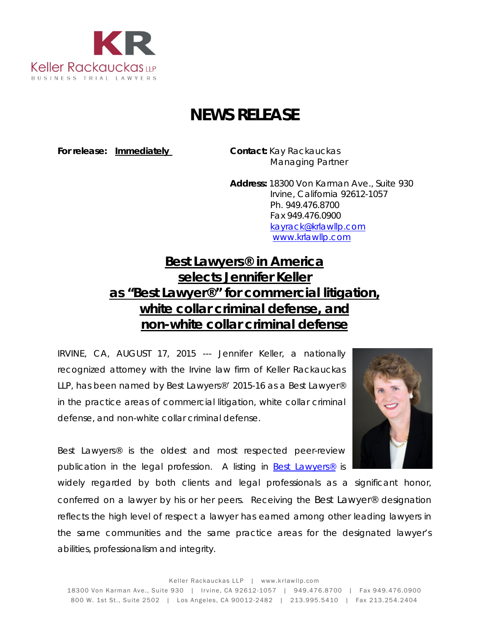

## **NEWS RELEASE**

**For release: Immediately Contact:** Kay Rackauckas

Managing Partner

**Address:** 18300 Von Karman Ave., Suite 930 Irvine, California 92612-1057 Ph. 949.476.8700 Fax 949.476.0900 [kayrack@krlawllp.com](mailto:kayrack@krlawllp.com) [www.krlawllp.com](http://www.krlawllp.com/)

## **Best Lawyers***®* **in America selects Jennifer Keller as "Best Lawyer***®***" for commercial litigation, white collar criminal defense, and non-white collar criminal defense**

IRVINE, CA, AUGUST 17, 2015 --- Jennifer Keller, a nationally recognized attorney with the Irvine law firm of Keller Rackauckas LLP, has been named by *Best Lawyers®'* 2015-16 as a *Best Lawyer®*  in the practice areas of commercial litigation, white collar criminal defense, and non-white collar criminal defense.



*Best Lawyers®* is the oldest and most respected peer-review publication in the legal profession. A listing in *[Best Lawyers®](http://www.bestlawyers.com/Search/LOTYSearch.aspx?country=US&state_code=CA)* is

widely regarded by both clients and legal professionals as a significant honor, conferred on a lawyer by his or her peers. Receiving the *Best Lawyer®* designation reflects the high level of respect a lawyer has earned among other leading lawyers in the same communities and the same practice areas for the designated lawyer's abilities, professionalism and integrity.